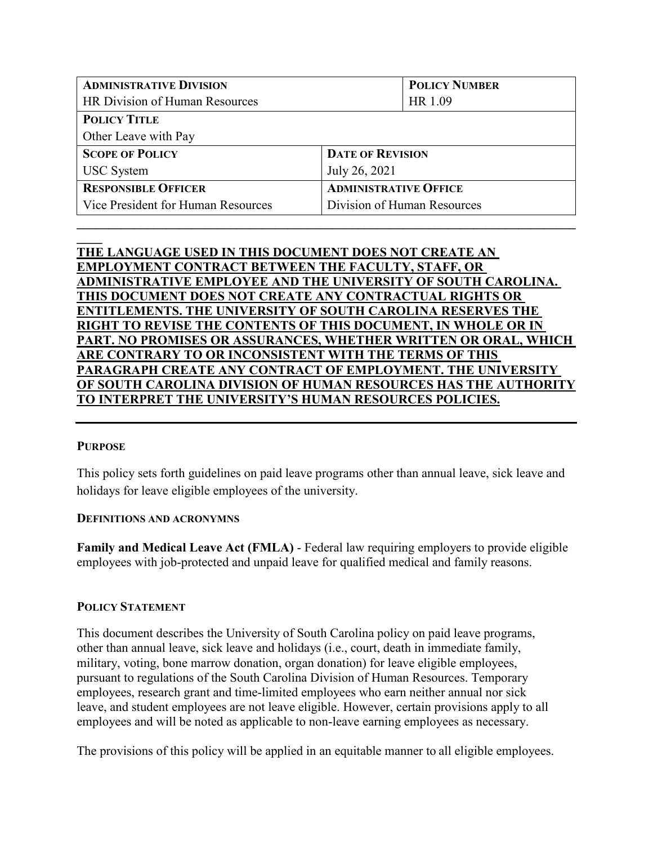| <b>ADMINISTRATIVE DIVISION</b>     |                              | <b>POLICY NUMBER</b> |  |
|------------------------------------|------------------------------|----------------------|--|
| HR Division of Human Resources     |                              | HR 1.09              |  |
| <b>POLICY TITLE</b>                |                              |                      |  |
| Other Leave with Pay               |                              |                      |  |
| <b>SCOPE OF POLICY</b>             | <b>DATE OF REVISION</b>      |                      |  |
| <b>USC</b> System                  | July 26, 2021                |                      |  |
| <b>RESPONSIBLE OFFICER</b>         | <b>ADMINISTRATIVE OFFICE</b> |                      |  |
| Vice President for Human Resources | Division of Human Resources  |                      |  |
|                                    |                              |                      |  |

# **\_\_\_\_ THE LANGUAGE USED IN THIS DOCUMENT DOES NOT CREATE AN EMPLOYMENT CONTRACT BETWEEN THE FACULTY, STAFF, OR ADMINISTRATIVE EMPLOYEE AND THE UNIVERSITY OF SOUTH CAROLINA. THIS DOCUMENT DOES NOT CREATE ANY CONTRACTUAL RIGHTS OR ENTITLEMENTS. THE UNIVERSITY OF SOUTH CAROLINA RESERVES THE RIGHT TO REVISE THE CONTENTS OF THIS DOCUMENT, IN WHOLE OR IN PART. NO PROMISES OR ASSURANCES, WHETHER WRITTEN OR ORAL, WHICH ARE CONTRARY TO OR INCONSISTENT WITH THE TERMS OF THIS PARAGRAPH CREATE ANY CONTRACT OF EMPLOYMENT. THE UNIVERSITY OF SOUTH CAROLINA DIVISION OF HUMAN RESOURCES HAS THE AUTHORITY TO INTERPRET THE UNIVERSITY'S HUMAN RESOURCES POLICIES.**

### **PURPOSE**

This policy sets forth guidelines on paid leave programs other than annual leave, sick leave and holidays for leave eligible employees of the university.

#### **DEFINITIONS AND ACRONYMNS**

**Family and Medical Leave Act (FMLA)** - Federal law requiring employers to provide eligible employees with job-protected and unpaid leave for qualified medical and family reasons.

#### **POLICY STATEMENT**

This document describes the University of South Carolina policy on paid leave programs, other than annual leave, sick leave and holidays (i.e., court, death in immediate family, military, voting, bone marrow donation, organ donation) for leave eligible employees, pursuant to regulations of the South Carolina Division of Human Resources. Temporary employees, research grant and time-limited employees who earn neither annual nor sick leave, and student employees are not leave eligible. However, certain provisions apply to all employees and will be noted as applicable to non-leave earning employees as necessary.

The provisions of this policy will be applied in an equitable manner to all eligible employees.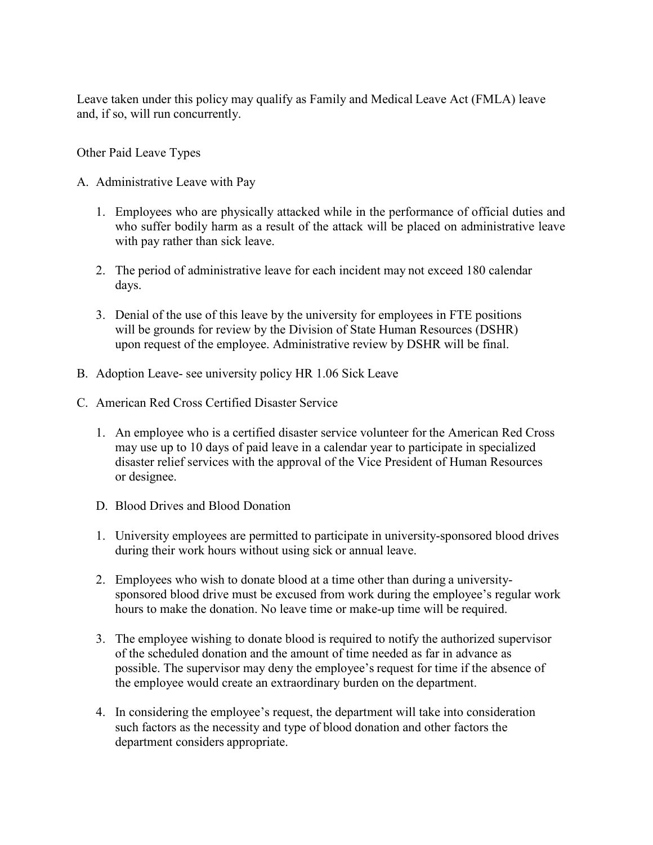Leave taken under this policy may qualify as Family and Medical Leave Act (FMLA) leave and, if so, will run concurrently.

Other Paid Leave Types

- A. Administrative Leave with Pay
	- 1. Employees who are physically attacked while in the performance of official duties and who suffer bodily harm as a result of the attack will be placed on administrative leave with pay rather than sick leave.
	- 2. The period of administrative leave for each incident may not exceed 180 calendar days.
	- 3. Denial of the use of this leave by the university for employees in FTE positions will be grounds for review by the Division of State Human Resources (DSHR) upon request of the employee. Administrative review by DSHR will be final.
- B. Adoption Leave- see university policy HR 1.06 Sick Leave
- C. American Red Cross Certified Disaster Service
	- 1. An employee who is a certified disaster service volunteer for the American Red Cross may use up to 10 days of paid leave in a calendar year to participate in specialized disaster relief services with the approval of the Vice President of Human Resources or designee.
	- D. Blood Drives and Blood Donation
	- 1. University employees are permitted to participate in university-sponsored blood drives during their work hours without using sick or annual leave.
	- 2. Employees who wish to donate blood at a time other than during a universitysponsored blood drive must be excused from work during the employee's regular work hours to make the donation. No leave time or make-up time will be required.
	- 3. The employee wishing to donate blood is required to notify the authorized supervisor of the scheduled donation and the amount of time needed as far in advance as possible. The supervisor may deny the employee's request for time if the absence of the employee would create an extraordinary burden on the department.
	- 4. In considering the employee's request, the department will take into consideration such factors as the necessity and type of blood donation and other factors the department considers appropriate.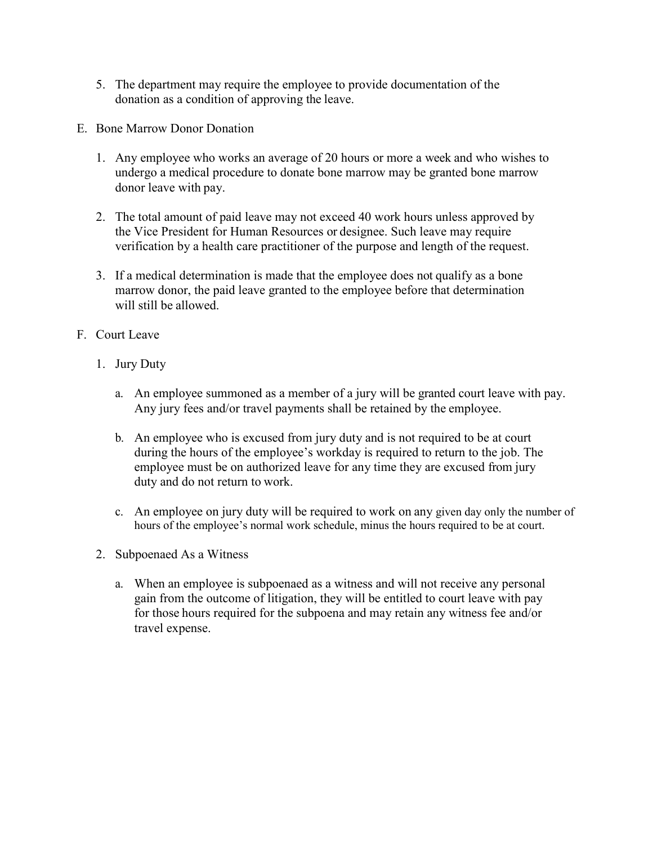- 5. The department may require the employee to provide documentation of the donation as a condition of approving the leave.
- E. Bone Marrow Donor Donation
	- 1. Any employee who works an average of 20 hours or more a week and who wishes to undergo a medical procedure to donate bone marrow may be granted bone marrow donor leave with pay.
	- 2. The total amount of paid leave may not exceed 40 work hours unless approved by the Vice President for Human Resources or designee. Such leave may require verification by a health care practitioner of the purpose and length of the request.
	- 3. If a medical determination is made that the employee does not qualify as a bone marrow donor, the paid leave granted to the employee before that determination will still be allowed.
- F. Court Leave
	- 1. Jury Duty
		- a. An employee summoned as a member of a jury will be granted court leave with pay. Any jury fees and/or travel payments shall be retained by the employee.
		- b. An employee who is excused from jury duty and is not required to be at court during the hours of the employee's workday is required to return to the job. The employee must be on authorized leave for any time they are excused from jury duty and do not return to work.
		- c. An employee on jury duty will be required to work on any given day only the number of hours of the employee's normal work schedule, minus the hours required to be at court.
	- 2. Subpoenaed As a Witness
		- a. When an employee is subpoenaed as a witness and will not receive any personal gain from the outcome of litigation, they will be entitled to court leave with pay for those hours required for the subpoena and may retain any witness fee and/or travel expense.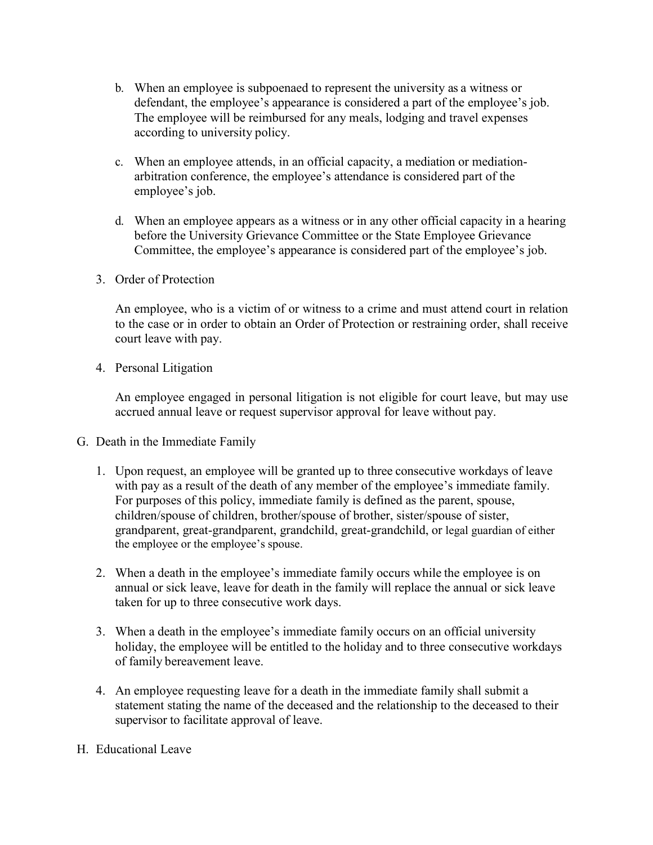- b. When an employee is subpoenaed to represent the university as a witness or defendant, the employee's appearance is considered a part of the employee's job. The employee will be reimbursed for any meals, lodging and travel expenses according to university policy.
- c. When an employee attends, in an official capacity, a mediation or mediationarbitration conference, the employee's attendance is considered part of the employee's job.
- d. When an employee appears as a witness or in any other official capacity in a hearing before the University Grievance Committee or the State Employee Grievance Committee, the employee's appearance is considered part of the employee's job.
- 3. Order of Protection

An employee, who is a victim of or witness to a crime and must attend court in relation to the case or in order to obtain an Order of Protection or restraining order, shall receive court leave with pay.

4. Personal Litigation

An employee engaged in personal litigation is not eligible for court leave, but may use accrued annual leave or request supervisor approval for leave without pay.

- G. Death in the Immediate Family
	- 1. Upon request, an employee will be granted up to three consecutive workdays of leave with pay as a result of the death of any member of the employee's immediate family. For purposes of this policy, immediate family is defined as the parent, spouse, children/spouse of children, brother/spouse of brother, sister/spouse of sister, grandparent, great-grandparent, grandchild, great-grandchild, or legal guardian of either the employee or the employee's spouse.
	- 2. When a death in the employee's immediate family occurs while the employee is on annual or sick leave, leave for death in the family will replace the annual or sick leave taken for up to three consecutive work days.
	- 3. When a death in the employee's immediate family occurs on an official university holiday, the employee will be entitled to the holiday and to three consecutive workdays of family bereavement leave.
	- 4. An employee requesting leave for a death in the immediate family shall submit a statement stating the name of the deceased and the relationship to the deceased to their supervisor to facilitate approval of leave.
- H. Educational Leave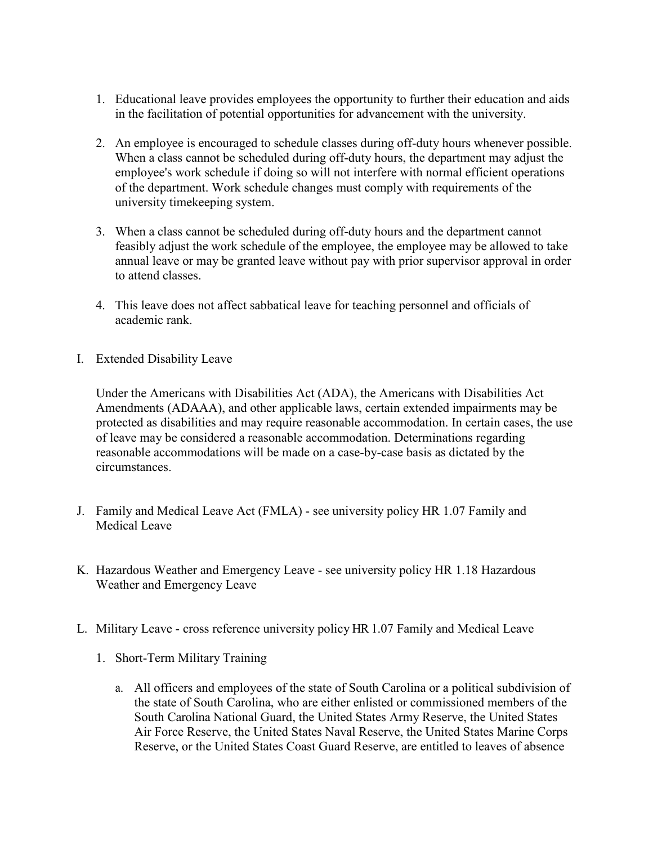- 1. Educational leave provides employees the opportunity to further their education and aids in the facilitation of potential opportunities for advancement with the university.
- 2. An employee is encouraged to schedule classes during off-duty hours whenever possible. When a class cannot be scheduled during off-duty hours, the department may adjust the employee's work schedule if doing so will not interfere with normal efficient operations of the department. Work schedule changes must comply with requirements of the university timekeeping system.
- 3. When a class cannot be scheduled during off-duty hours and the department cannot feasibly adjust the work schedule of the employee, the employee may be allowed to take annual leave or may be granted leave without pay with prior supervisor approval in order to attend classes.
- 4. This leave does not affect sabbatical leave for teaching personnel and officials of academic rank.
- I. Extended Disability Leave

Under the Americans with Disabilities Act (ADA), the Americans with Disabilities Act Amendments (ADAAA), and other applicable laws, certain extended impairments may be protected as disabilities and may require reasonable accommodation. In certain cases, the use of leave may be considered a reasonable accommodation. Determinations regarding reasonable accommodations will be made on a case-by-case basis as dictated by the circumstances.

- J. Family and Medical Leave Act (FMLA) see university policy HR 1.07 Family and Medical Leave
- K. Hazardous Weather and Emergency Leave see university policy HR 1.18 Hazardous Weather and Emergency Leave
- L. Military Leave cross reference university policy HR 1.07 Family and Medical Leave
	- 1. Short-Term Military Training
		- a. All officers and employees of the state of South Carolina or a political subdivision of the state of South Carolina, who are either enlisted or commissioned members of the South Carolina National Guard, the United States Army Reserve, the United States Air Force Reserve, the United States Naval Reserve, the United States Marine Corps Reserve, or the United States Coast Guard Reserve, are entitled to leaves of absence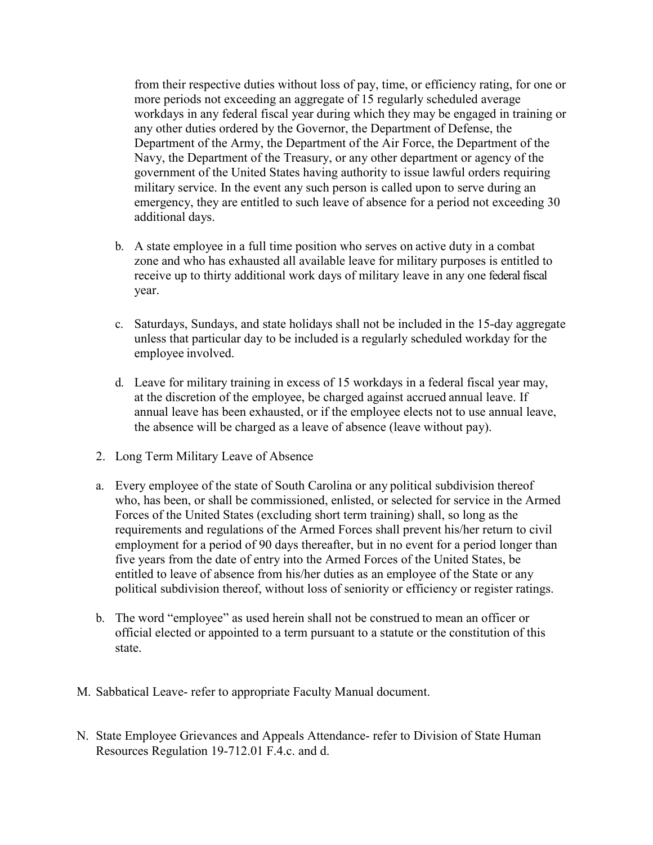from their respective duties without loss of pay, time, or efficiency rating, for one or more periods not exceeding an aggregate of 15 regularly scheduled average workdays in any federal fiscal year during which they may be engaged in training or any other duties ordered by the Governor, the Department of Defense, the Department of the Army, the Department of the Air Force, the Department of the Navy, the Department of the Treasury, or any other department or agency of the government of the United States having authority to issue lawful orders requiring military service. In the event any such person is called upon to serve during an emergency, they are entitled to such leave of absence for a period not exceeding 30 additional days.

- b. A state employee in a full time position who serves on active duty in a combat zone and who has exhausted all available leave for military purposes is entitled to receive up to thirty additional work days of military leave in any one federal fiscal year.
- c. Saturdays, Sundays, and state holidays shall not be included in the 15-day aggregate unless that particular day to be included is a regularly scheduled workday for the employee involved.
- d. Leave for military training in excess of 15 workdays in a federal fiscal year may, at the discretion of the employee, be charged against accrued annual leave. If annual leave has been exhausted, or if the employee elects not to use annual leave, the absence will be charged as a leave of absence (leave without pay).
- 2. Long Term Military Leave of Absence
- a. Every employee of the state of South Carolina or any political subdivision thereof who, has been, or shall be commissioned, enlisted, or selected for service in the Armed Forces of the United States (excluding short term training) shall, so long as the requirements and regulations of the Armed Forces shall prevent his/her return to civil employment for a period of 90 days thereafter, but in no event for a period longer than five years from the date of entry into the Armed Forces of the United States, be entitled to leave of absence from his/her duties as an employee of the State or any political subdivision thereof, without loss of seniority or efficiency or register ratings.
- b. The word "employee" as used herein shall not be construed to mean an officer or official elected or appointed to a term pursuant to a statute or the constitution of this state.
- M. Sabbatical Leave- refer to appropriate Faculty Manual document.
- N. State Employee Grievances and Appeals Attendance- refer to Division of State Human Resources Regulation 19-712.01 F.4.c. and d.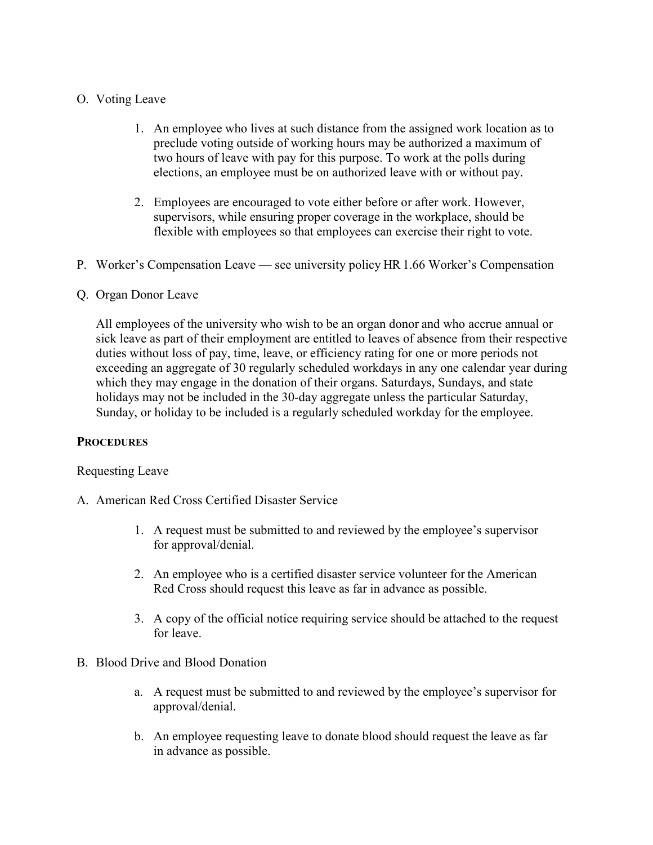## O. Voting Leave

- 1. An employee who lives at such distance from the assigned work location as to preclude voting outside of working hours may be authorized a maximum of two hours of leave with pay for this purpose. To work at the polls during elections, an employee must be on authorized leave with or without pay.
- 2. Employees are encouraged to vote either before or after work. However, supervisors, while ensuring proper coverage in the workplace, should be flexible with employees so that employees can exercise their right to vote.
- P. Worker's Compensation Leave see university policy HR 1.66 Worker's Compensation

## Q. Organ Donor Leave

All employees of the university who wish to be an organ donor and who accrue annual or sick leave as part of their employment are entitled to leaves of absence from their respective duties without loss of pay, time, leave, or efficiency rating for one or more periods not exceeding an aggregate of 30 regularly scheduled workdays in any one calendar year during which they may engage in the donation of their organs. Saturdays, Sundays, and state holidays may not be included in the 30-day aggregate unless the particular Saturday, Sunday, or holiday to be included is a regularly scheduled workday for the employee.

### **PROCEDURES**

### Requesting Leave

- A. American Red Cross Certified Disaster Service
	- 1. A request must be submitted to and reviewed by the employee's supervisor for approval/denial.
	- 2. An employee who is a certified disaster service volunteer for the American Red Cross should request this leave as far in advance as possible.
	- 3. A copy of the official notice requiring service should be attached to the request for leave.
- B. Blood Drive and Blood Donation
	- a. A request must be submitted to and reviewed by the employee's supervisor for approval/denial.
	- b. An employee requesting leave to donate blood should request the leave as far in advance as possible.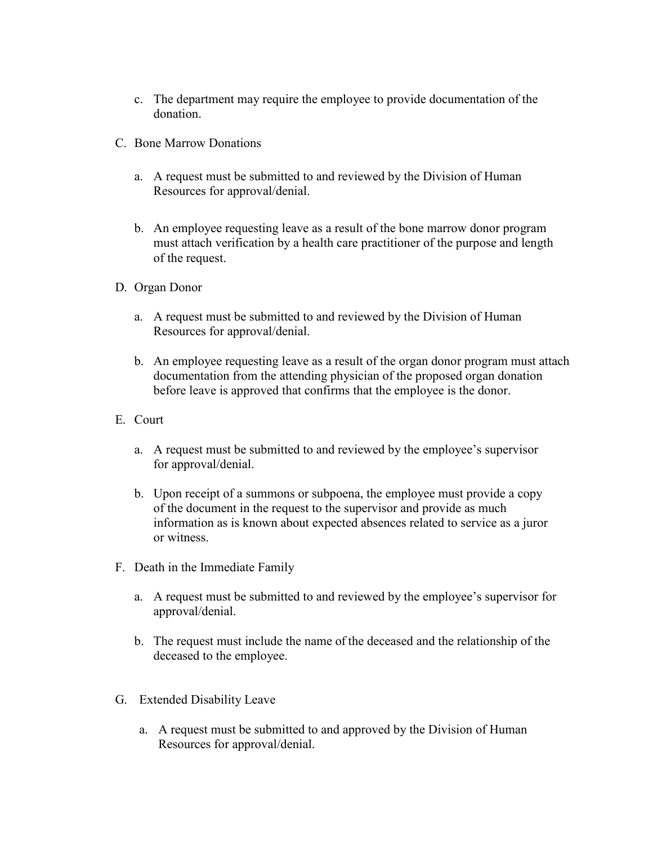- c. The department may require the employee to provide documentation of the donation.
- C. Bone Marrow Donations
	- a. A request must be submitted to and reviewed by the Division of Human Resources for approval/denial.
	- b. An employee requesting leave as a result of the bone marrow donor program must attach verification by a health care practitioner of the purpose and length of the request.
- D. Organ Donor
	- a. A request must be submitted to and reviewed by the Division of Human Resources for approval/denial.
	- b. An employee requesting leave as a result of the organ donor program must attach documentation from the attending physician of the proposed organ donation before leave is approved that confirms that the employee is the donor.
- E. Court
	- a. A request must be submitted to and reviewed by the employee's supervisor for approval/denial.
	- b. Upon receipt of a summons or subpoena, the employee must provide a copy of the document in the request to the supervisor and provide as much information as is known about expected absences related to service as a juror or witness.
- F. Death in the Immediate Family
	- a. A request must be submitted to and reviewed by the employee's supervisor for approval/denial.
	- b. The request must include the name of the deceased and the relationship of the deceased to the employee.
- G. Extended Disability Leave
	- a. A request must be submitted to and approved by the Division of Human Resources for approval/denial.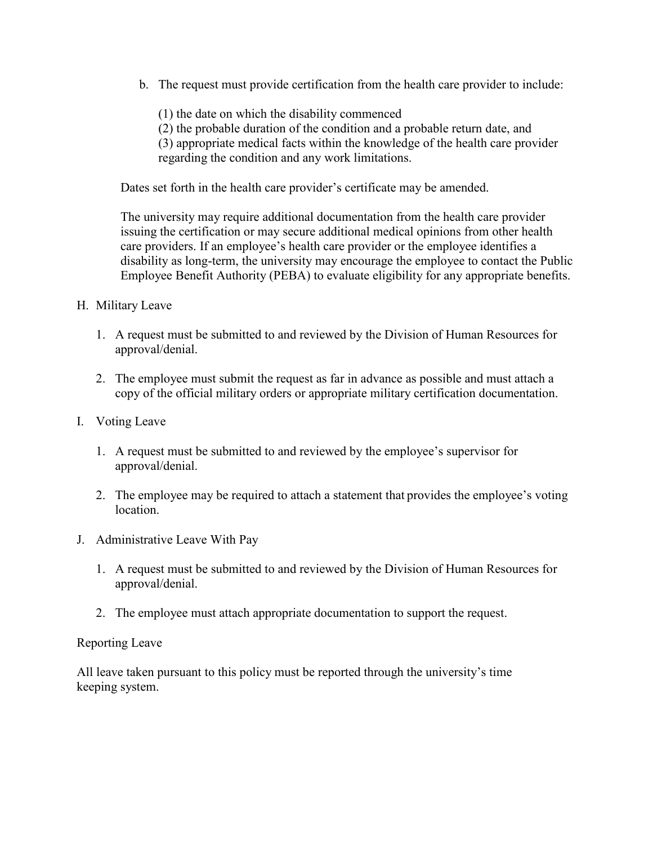b. The request must provide certification from the health care provider to include:

(1) the date on which the disability commenced

(2) the probable duration of the condition and a probable return date, and

(3) appropriate medical facts within the knowledge of the health care provider

regarding the condition and any work limitations.

Dates set forth in the health care provider's certificate may be amended.

The university may require additional documentation from the health care provider issuing the certification or may secure additional medical opinions from other health care providers. If an employee's health care provider or the employee identifies a disability as long-term, the university may encourage the employee to contact the Public Employee Benefit Authority (PEBA) to evaluate eligibility for any appropriate benefits.

- H. Military Leave
	- 1. A request must be submitted to and reviewed by the Division of Human Resources for approval/denial.
	- 2. The employee must submit the request as far in advance as possible and must attach a copy of the official military orders or appropriate military certification documentation.
- I. Voting Leave
	- 1. A request must be submitted to and reviewed by the employee's supervisor for approval/denial.
	- 2. The employee may be required to attach a statement that provides the employee's voting location.
- J. Administrative Leave With Pay
	- 1. A request must be submitted to and reviewed by the Division of Human Resources for approval/denial.
	- 2. The employee must attach appropriate documentation to support the request.

# Reporting Leave

All leave taken pursuant to this policy must be reported through the university's time keeping system.